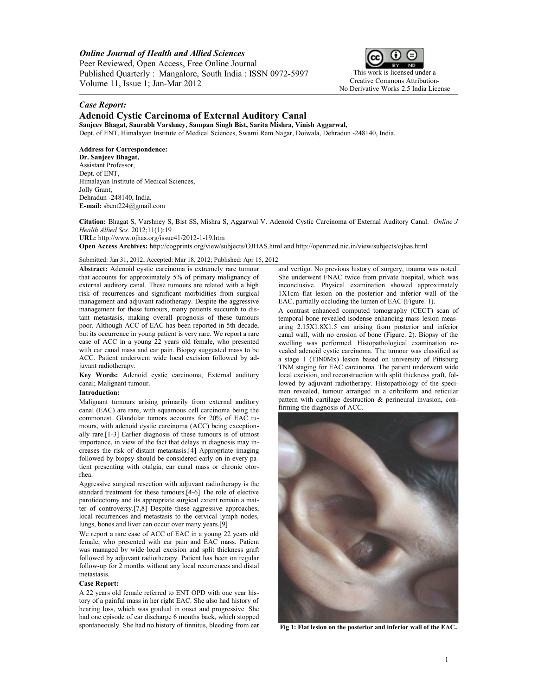*Online Journal of Health and Allied Sciences*

Peer Reviewed, Open Access, Free Online Journal Published Quarterly : Mangalore, South India : ISSN 0972-5997 Volume 11, Issue 1; Jan-Mar 2012



This work is licensed under a Creative Commons Attribution-No Derivative Works 2.5 India License

## *Case Report:*

# **Adenoid Cystic Carcinoma of External Auditory Canal**

**Sanjeev Bhagat, Saurabh Varshney, Sampan Singh Bist, Sarita Mishra, Vinish Aggarwal,** Dept. of ENT, Himalayan Institute of Medical Sciences, Swami Ram Nagar, Doiwala, Dehradun -248140, India.

## **Address for Correspondence:**

**Dr. Sanjeev Bhagat,** Assistant Professor, Dept. of ENT, Himalayan Institute of Medical Sciences, Jolly Grant, Dehradun -248140, India. **E-mail:** [sbent224@gmail.com](mailto:sbent224@gmail.com)

**Citation:** Bhagat S, Varshney S, Bist SS, Mishra S, Aggarwal V. Adenoid Cystic Carcinoma of External Auditory Canal. *Online J Health Allied Scs.* 2012;11(1):19 **URL:** http://www.ojhas.org/issue41/2012-1-19.htm

**Open Access Archives:** http://cogprints.org/view/subjects/OJHAS.html and http://openmed.nic.in/view/subjects/ojhas.html

### Submitted: Jan 31, 2012; Accepted: Mar 18, 2012; Published: Apr 15, 2012

**Abstract:** Adenoid cystic carcinoma is extremely rare tumour that accounts for approximately 5% of primary malignancy of external auditory canal. These tumours are related with a high risk of recurrences and significant morbidities from surgical management and adjuvant radiotherapy. Despite the aggressive management for these tumours, many patients succumb to distant metastasis, making overall prognosis of these tumours poor. Although ACC of EAC has been reported in 5th decade, but its occurrence in young patient is very rare. We report a rare case of ACC in a young 22 years old female, who presented with ear canal mass and ear pain. Biopsy suggested mass to be ACC. Patient underwent wide local excision followed by adjuvant radiotherapy.

**Key Words:** Adenoid cystic carcinoma; External auditory canal; Malignant tumour.

### **Introduction:**

Malignant tumours arising primarily from external auditory canal (EAC) are rare, with squamous cell carcinoma being the commonest. Glandular tumors accounts for 20% of EAC tumours, with adenoid cystic carcinoma (ACC) being exceptionally rare.[1-3] Earlier diagnosis of these tumours is of utmost importance, in view of the fact that delays in diagnosis may increases the risk of distant metastasis.[4] Appropriate imaging followed by biopsy should be considered early on in every patient presenting with otalgia, ear canal mass or chronic otorrhea.

Aggressive surgical resection with adjuvant radiotherapy is the standard treatment for these tumours.[4-6] The role of elective parotidectomy and its appropriate surgical extent remain a matter of controversy.[7,8] Despite these aggressive approaches, local recurrences and metastasis to the cervical lymph nodes, lungs, bones and liver can occur over many years.[9]

We report a rare case of ACC of EAC in a young 22 years old female, who presented with ear pain and EAC mass. Patient was managed by wide local excision and split thickness graft followed by adjuvant radiotherapy. Patient has been on regular follow-up for 2 months without any local recurrences and distal metastasis.

#### **Case Report:**

A 22 years old female referred to ENT OPD with one year history of a painful mass in her right EAC. She also had history of hearing loss, which was gradual in onset and progressive. She had one episode of ear discharge 6 months back, which stopped spontaneously. She had no history of tinnitus, bleeding from ear

and vertigo. No previous history of surgery, trauma was noted. She underwent FNAC twice from private hospital, which was inconclusive. Physical examination showed approximately 1X1cm flat lesion on the posterior and inferior wall of the EAC, partially occluding the lumen of EAC (Figure. 1).

A contrast enhanced computed tomography (CECT) scan of temporal bone revealed isodense enhancing mass lesion measuring 2.15X1.8X1.5 cm arising from posterior and inferior canal wall, with no erosion of bone (Figure. 2). Biopsy of the swelling was performed. Histopathological examination revealed adenoid cystic carcinoma. The tumour was classified as a stage 1 (TIN0Mx) lesion based on university of Pittsburg TNM staging for EAC carcinoma. The patient underwent wide local excision, and reconstruction with split thickness graft, followed by adjuvant radiotherapy. Histopathology of the specimen revealed, tumour arranged in a cribriform and reticular pattern with cartilage destruction & perineural invasion, confirming the diagnosis of ACC.



**Fig 1: Flat lesion on the posterior and inferior wall of the EAC.**